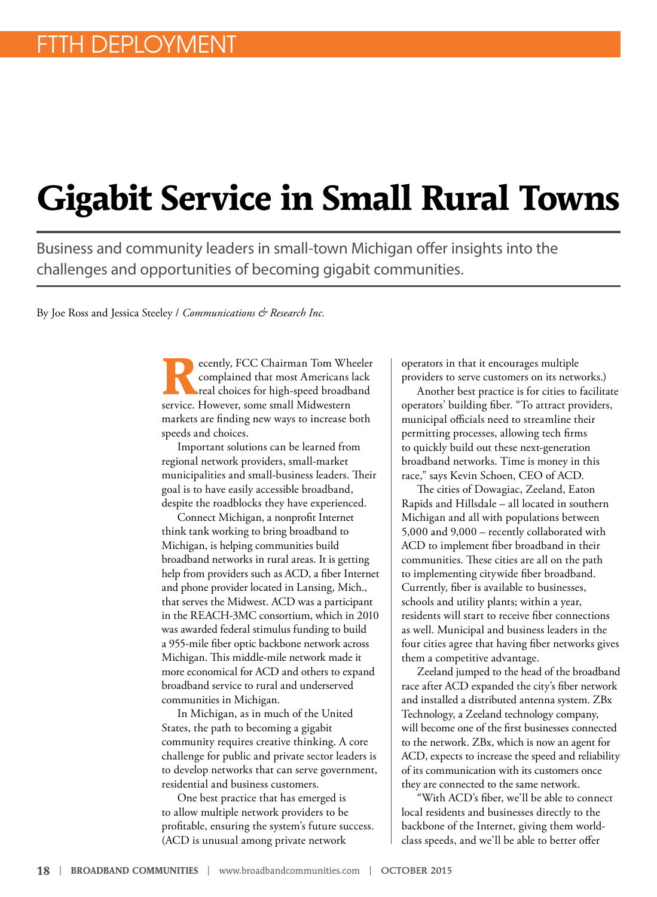# **Gigabit Service in Small Rural Towns**

Business and community leaders in small-town Michigan offer insights into the challenges and opportunities of becoming gigabit communities.

By Joe Ross and Jessica Steeley / *Communications & Research Inc.* 

**R**ecently, FCC Chairman Tom Wheeler complained that most Americans lack real choices for high-speed broadband service. However, some small Midwestern markets are finding new ways to increase both speeds and choices.

Important solutions can be learned from regional network providers, small-market municipalities and small-business leaders. Their goal is to have easily accessible broadband, despite the roadblocks they have experienced.

Connect Michigan, a nonprofit Internet think tank working to bring broadband to Michigan, is helping communities build broadband networks in rural areas. It is getting help from providers such as ACD, a fiber Internet and phone provider located in Lansing, Mich., that serves the Midwest. ACD was a participant in the REACH-3MC consortium, which in 2010 was awarded federal stimulus funding to build a 955-mile fiber optic backbone network across Michigan. This middle-mile network made it more economical for ACD and others to expand broadband service to rural and underserved communities in Michigan.

In Michigan, as in much of the United States, the path to becoming a gigabit community requires creative thinking. A core challenge for public and private sector leaders is to develop networks that can serve government, residential and business customers.

One best practice that has emerged is to allow multiple network providers to be profitable, ensuring the system's future success. (ACD is unusual among private network

operators in that it encourages multiple providers to serve customers on its networks.)

Another best practice is for cities to facilitate operators' building fiber. "To attract providers, municipal officials need to streamline their permitting processes, allowing tech firms to quickly build out these next-generation broadband networks. Time is money in this race," says Kevin Schoen, CEO of ACD.

The cities of Dowagiac, Zeeland, Eaton Rapids and Hillsdale – all located in southern Michigan and all with populations between 5,000 and 9,000 – recently collaborated with ACD to implement fiber broadband in their communities. These cities are all on the path to implementing citywide fiber broadband. Currently, fiber is available to businesses, schools and utility plants; within a year, residents will start to receive fiber connections as well. Municipal and business leaders in the four cities agree that having fiber networks gives them a competitive advantage.

Zeeland jumped to the head of the broadband race after ACD expanded the city's fiber network and installed a distributed antenna system. ZBx Technology, a Zeeland technology company, will become one of the first businesses connected to the network. ZBx, which is now an agent for ACD, expects to increase the speed and reliability of its communication with its customers once they are connected to the same network.

"With ACD's fiber, we'll be able to connect local residents and businesses directly to the backbone of the Internet, giving them worldclass speeds, and we'll be able to better offer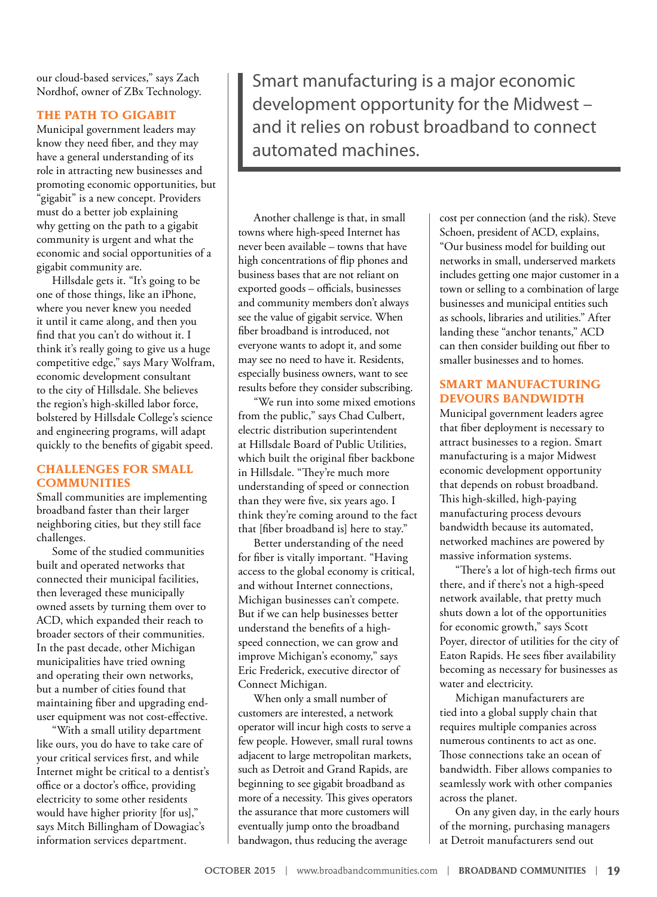our cloud-based services," says Zach Nordhof, owner of ZBx Technology.

#### **THE PATH TO GIGABIT**

Municipal government leaders may know they need fiber, and they may have a general understanding of its role in attracting new businesses and promoting economic opportunities, but "gigabit" is a new concept. Providers must do a better job explaining why getting on the path to a gigabit community is urgent and what the economic and social opportunities of a gigabit community are.

Hillsdale gets it. "It's going to be one of those things, like an iPhone, where you never knew you needed it until it came along, and then you find that you can't do without it. I think it's really going to give us a huge competitive edge," says Mary Wolfram, economic development consultant to the city of Hillsdale. She believes the region's high-skilled labor force, bolstered by Hillsdale College's science and engineering programs, will adapt quickly to the benefits of gigabit speed.

## **CHALLENGES FOR SMALL COMMUNITIES**

Small communities are implementing broadband faster than their larger neighboring cities, but they still face challenges.

Some of the studied communities built and operated networks that connected their municipal facilities, then leveraged these municipally owned assets by turning them over to ACD, which expanded their reach to broader sectors of their communities. In the past decade, other Michigan municipalities have tried owning and operating their own networks, but a number of cities found that maintaining fiber and upgrading enduser equipment was not cost-effective.

"With a small utility department like ours, you do have to take care of your critical services first, and while Internet might be critical to a dentist's office or a doctor's office, providing electricity to some other residents would have higher priority [for us]," says Mitch Billingham of Dowagiac's information services department.

Smart manufacturing is a major economic development opportunity for the Midwest – and it relies on robust broadband to connect automated machines.

Another challenge is that, in small towns where high-speed Internet has never been available – towns that have high concentrations of flip phones and business bases that are not reliant on exported goods – officials, businesses and community members don't always see the value of gigabit service. When fiber broadband is introduced, not everyone wants to adopt it, and some may see no need to have it. Residents, especially business owners, want to see results before they consider subscribing.

"We run into some mixed emotions from the public," says Chad Culbert, electric distribution superintendent at Hillsdale Board of Public Utilities, which built the original fiber backbone in Hillsdale. "They're much more understanding of speed or connection than they were five, six years ago. I think they're coming around to the fact that [fiber broadband is] here to stay."

Better understanding of the need for fiber is vitally important. "Having access to the global economy is critical, and without Internet connections, Michigan businesses can't compete. But if we can help businesses better understand the benefits of a highspeed connection, we can grow and improve Michigan's economy," says Eric Frederick, executive director of Connect Michigan.

When only a small number of customers are interested, a network operator will incur high costs to serve a few people. However, small rural towns adjacent to large metropolitan markets, such as Detroit and Grand Rapids, are beginning to see gigabit broadband as more of a necessity. This gives operators the assurance that more customers will eventually jump onto the broadband bandwagon, thus reducing the average

cost per connection (and the risk). Steve Schoen, president of ACD, explains, "Our business model for building out networks in small, underserved markets includes getting one major customer in a town or selling to a combination of large businesses and municipal entities such as schools, libraries and utilities." After landing these "anchor tenants," ACD can then consider building out fiber to smaller businesses and to homes.

## **SMART MANUFACTURING DEVOURS BANDWIDTH**

Municipal government leaders agree that fiber deployment is necessary to attract businesses to a region. Smart manufacturing is a major Midwest economic development opportunity that depends on robust broadband. This high-skilled, high-paying manufacturing process devours bandwidth because its automated, networked machines are powered by massive information systems.

"There's a lot of high-tech firms out there, and if there's not a high-speed network available, that pretty much shuts down a lot of the opportunities for economic growth," says Scott Poyer, director of utilities for the city of Eaton Rapids. He sees fiber availability becoming as necessary for businesses as water and electricity.

Michigan manufacturers are tied into a global supply chain that requires multiple companies across numerous continents to act as one. Those connections take an ocean of bandwidth. Fiber allows companies to seamlessly work with other companies across the planet.

On any given day, in the early hours of the morning, purchasing managers at Detroit manufacturers send out